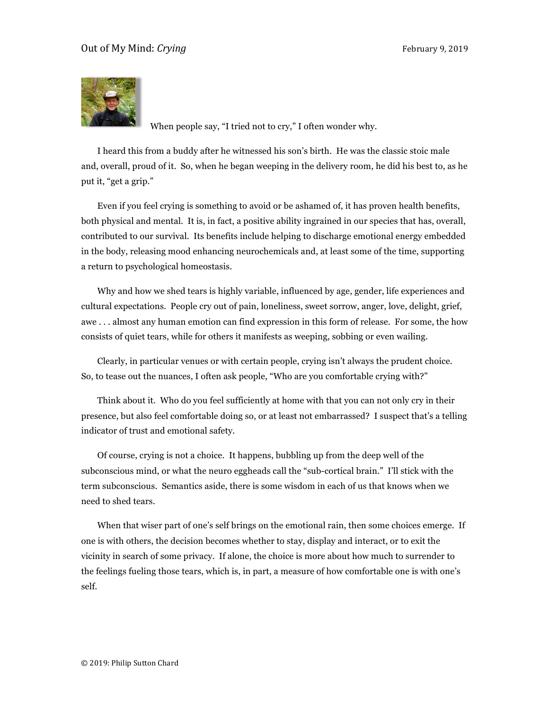

When people say, "I tried not to cry," I often wonder why.

I heard this from a buddy after he witnessed his son's birth. He was the classic stoic male and, overall, proud of it. So, when he began weeping in the delivery room, he did his best to, as he put it, "get a grip."

Even if you feel crying is something to avoid or be ashamed of, it has proven health benefits, both physical and mental. It is, in fact, a positive ability ingrained in our species that has, overall, contributed to our survival. Its benefits include helping to discharge emotional energy embedded in the body, releasing mood enhancing neurochemicals and, at least some of the time, supporting a return to psychological homeostasis.

Why and how we shed tears is highly variable, influenced by age, gender, life experiences and cultural expectations. People cry out of pain, loneliness, sweet sorrow, anger, love, delight, grief, awe . . . almost any human emotion can find expression in this form of release. For some, the how consists of quiet tears, while for others it manifests as weeping, sobbing or even wailing.

Clearly, in particular venues or with certain people, crying isn't always the prudent choice. So, to tease out the nuances, I often ask people, "Who are you comfortable crying with?"

Think about it. Who do you feel sufficiently at home with that you can not only cry in their presence, but also feel comfortable doing so, or at least not embarrassed? I suspect that's a telling indicator of trust and emotional safety.

Of course, crying is not a choice. It happens, bubbling up from the deep well of the subconscious mind, or what the neuro eggheads call the "sub-cortical brain." I'll stick with the term subconscious. Semantics aside, there is some wisdom in each of us that knows when we need to shed tears.

When that wiser part of one's self brings on the emotional rain, then some choices emerge. If one is with others, the decision becomes whether to stay, display and interact, or to exit the vicinity in search of some privacy. If alone, the choice is more about how much to surrender to the feelings fueling those tears, which is, in part, a measure of how comfortable one is with one's self.